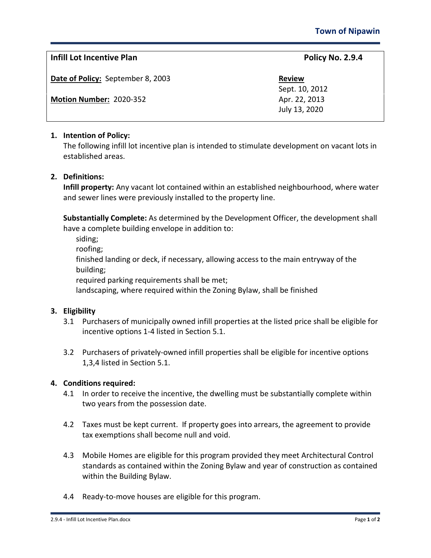# **Infill Lot Incentive Plan Policy No. 2.9.4**

**Date of Policy:** September 8, 2003

**Motion Number: 2020-352 Apr. 22, 2013** 

Sept. 10, 2012 July 13, 2020

## **1. Intention of Policy:**

The following infill lot incentive plan is intended to stimulate development on vacant lots in established areas.

### **2. Definitions:**

**Infill property:** Any vacant lot contained within an established neighbourhood, where water and sewer lines were previously installed to the property line.

**Substantially Complete:** As determined by the Development Officer, the development shall have a complete building envelope in addition to:

siding;

roofing;

finished landing or deck, if necessary, allowing access to the main entryway of the building;

required parking requirements shall be met;

landscaping, where required within the Zoning Bylaw, shall be finished

### **3. Eligibility**

- 3.1 Purchasers of municipally owned infill properties at the listed price shall be eligible for incentive options 1-4 listed in Section 5.1.
- 3.2 Purchasers of privately-owned infill properties shall be eligible for incentive options 1,3,4 listed in Section 5.1.

### **4. Conditions required:**

- 4.1 In order to receive the incentive, the dwelling must be substantially complete within two years from the possession date.
- 4.2 Taxes must be kept current. If property goes into arrears, the agreement to provide tax exemptions shall become null and void.
- 4.3 Mobile Homes are eligible for this program provided they meet Architectural Control standards as contained within the Zoning Bylaw and year of construction as contained within the Building Bylaw.
- 4.4 Ready-to-move houses are eligible for this program.